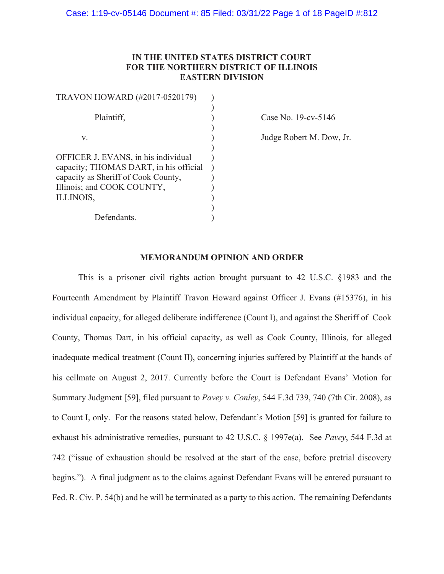# IN THE UNITED STATES DISTRICT COURT FOR THE NORTHERN DISTRICT OF ILLINOIS **EASTERN DIVISION**

| TRAVON HOWARD (#2017-0520179)          |  |
|----------------------------------------|--|
|                                        |  |
| Plaintiff,                             |  |
|                                        |  |
| V.                                     |  |
|                                        |  |
| OFFICER J. EVANS, in his individual    |  |
| capacity; THOMAS DART, in his official |  |
| capacity as Sheriff of Cook County,    |  |
| Illinois; and COOK COUNTY,             |  |
| ILLINOIS,                              |  |
|                                        |  |
| Defendants.                            |  |

Case No. 19-cv-5146

Judge Robert M. Dow, Jr.

#### **MEMORANDUM OPINION AND ORDER**

This is a prisoner civil rights action brought pursuant to 42 U.S.C. §1983 and the Fourteenth Amendment by Plaintiff Travon Howard against Officer J. Evans (#15376), in his individual capacity, for alleged deliberate indifference (Count I), and against the Sheriff of Cook County, Thomas Dart, in his official capacity, as well as Cook County, Illinois, for alleged inadequate medical treatment (Count II), concerning injuries suffered by Plaintiff at the hands of his cellmate on August 2, 2017. Currently before the Court is Defendant Evans' Motion for Summary Judgment [59], filed pursuant to Pavey v. Conley, 544 F.3d 739, 740 (7th Cir. 2008), as to Count I, only. For the reasons stated below, Defendant's Motion [59] is granted for failure to exhaust his administrative remedies, pursuant to 42 U.S.C. § 1997e(a). See Pavey, 544 F.3d at 742 ("issue of exhaustion should be resolved at the start of the case, before pretrial discovery begins."). A final judgment as to the claims against Defendant Evans will be entered pursuant to Fed. R. Civ. P. 54(b) and he will be terminated as a party to this action. The remaining Defendants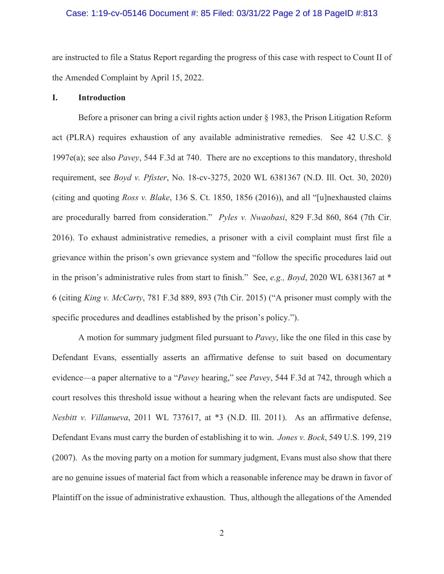### Case: 1:19-cv-05146 Document #: 85 Filed: 03/31/22 Page 2 of 18 PageID #:813

are instructed to file a Status Report regarding the progress of this case with respect to Count II of the Amended Complaint by April 15, 2022.

#### I. **Introduction**

Before a prisoner can bring a civil rights action under  $\S$  1983, the Prison Litigation Reform act (PLRA) requires exhaustion of any available administrative remedies. See 42 U.S.C. § 1997e(a); see also *Pavey*, 544 F.3d at 740. There are no exceptions to this mandatory, threshold requirement, see *Boyd v. Pfister*, No. 18-cv-3275, 2020 WL 6381367 (N.D. Ill. Oct. 30, 2020) (citing and quoting *Ross v. Blake*, 136 S. Ct. 1850, 1856 (2016)), and all "[u]nexhausted claims are procedurally barred from consideration." Pyles v. Nwaobasi, 829 F.3d 860, 864 (7th Cir. 2016). To exhaust administrative remedies, a prisoner with a civil complaint must first file a grievance within the prison's own grievance system and "follow the specific procedures laid out in the prison's administrative rules from start to finish." See, e.g., Boyd, 2020 WL 6381367 at  $*$ 6 (citing *King v. McCarty*, 781 F.3d 889, 893 (7th Cir. 2015) ("A prisoner must comply with the specific procedures and deadlines established by the prison's policy.").

A motion for summary judgment filed pursuant to *Pavey*, like the one filed in this case by Defendant Evans, essentially asserts an affirmative defense to suit based on documentary evidence—a paper alternative to a "Pavey hearing," see Pavey, 544 F.3d at 742, through which a court resolves this threshold issue without a hearing when the relevant facts are undisputed. See Nesbitt v. Villanueva, 2011 WL 737617, at \*3 (N.D. Ill. 2011). As an affirmative defense, Defendant Evans must carry the burden of establishing it to win. *Jones v. Bock*, 549 U.S. 199, 219 (2007). As the moving party on a motion for summary judgment, Evans must also show that there are no genuine issues of material fact from which a reasonable inference may be drawn in favor of Plaintiff on the issue of administrative exhaustion. Thus, although the allegations of the Amended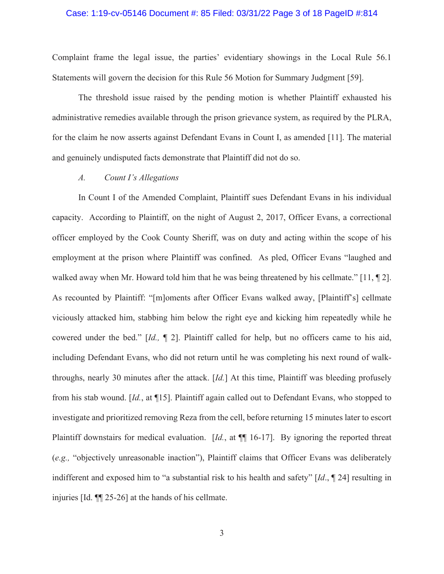### Case: 1:19-cv-05146 Document #: 85 Filed: 03/31/22 Page 3 of 18 PageID #:814

Complaint frame the legal issue, the parties' evidentiary showings in the Local Rule 56.1 Statements will govern the decision for this Rule 56 Motion for Summary Judgment [59].

The threshold issue raised by the pending motion is whether Plaintiff exhausted his administrative remedies available through the prison grievance system, as required by the PLRA, for the claim he now asserts against Defendant Evans in Count I, as amended [11]. The material and genuinely undisputed facts demonstrate that Plaintiff did not do so.

#### $\overline{A}$ . Count I's Allegations

In Count I of the Amended Complaint, Plaintiff sues Defendant Evans in his individual capacity. According to Plaintiff, on the night of August 2, 2017, Officer Evans, a correctional officer employed by the Cook County Sheriff, was on duty and acting within the scope of his employment at the prison where Plaintiff was confined. As pled, Officer Evans "laughed and walked away when Mr. Howard told him that he was being threatened by his cellmate." [11,  $\P$  2]. As recounted by Plaintiff: "[m]oments after Officer Evans walked away, [Plaintiff's] cellmate viciously attacked him, stabbing him below the right eye and kicking him repeatedly while he cowered under the bed." [Id., ¶ 2]. Plaintiff called for help, but no officers came to his aid, including Defendant Evans, who did not return until he was completing his next round of walkthroughs, nearly 30 minutes after the attack.  $Id.$  At this time, Plaintiff was bleeding profusely from his stab wound. [Id., at  $\P$ 15]. Plaintiff again called out to Defendant Evans, who stopped to investigate and prioritized removing Reza from the cell, before returning 15 minutes later to escort Plaintiff downstairs for medical evaluation.  $Id$ , at  $\P$  16-17]. By ignoring the reported threat (e.g., "objectively unreasonable inaction"), Plaintiff claims that Officer Evans was deliberately indifferent and exposed him to "a substantial risk to his health and safety"  $Id.$ ,  $\P$  24] resulting in injuries [Id.  $\P$ [25-26] at the hands of his cellmate.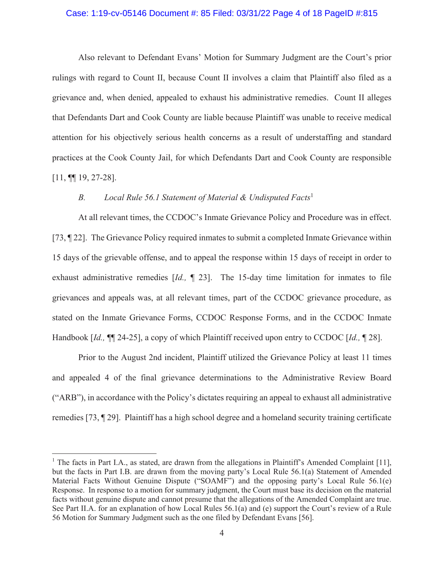### Case: 1:19-cv-05146 Document #: 85 Filed: 03/31/22 Page 4 of 18 PageID #:815

Also relevant to Defendant Evans' Motion for Summary Judgment are the Court's prior rulings with regard to Count II, because Count II involves a claim that Plaintiff also filed as a grievance and, when denied, appealed to exhaust his administrative remedies. Count II alleges that Defendants Dart and Cook County are liable because Plaintiff was unable to receive medical attention for his objectively serious health concerns as a result of understaffing and standard practices at the Cook County Jail, for which Defendants Dart and Cook County are responsible  $[11, \P\P 19, 27-28].$ 

#### Local Rule 56.1 Statement of Material & Undisputed Facts<sup>1</sup>  $B_{\cdot}$

At all relevant times, the CCDOC's Inmate Grievance Policy and Procedure was in effect. [73,  $\llbracket$  22]. The Grievance Policy required inmates to submit a completed Inmate Grievance within 15 days of the grievable offense, and to appeal the response within 15 days of receipt in order to exhaust administrative remedies  $Id$ ,  $\P$  23]. The 15-day time limitation for inmates to file grievances and appeals was, at all relevant times, part of the CCDOC grievance procedure, as stated on the Inmate Grievance Forms, CCDOC Response Forms, and in the CCDOC Inmate Handbook [Id.,  $\P$ ] 24-25], a copy of which Plaintiff received upon entry to CCDOC [Id.,  $\P$  28].

Prior to the August 2nd incident, Plaintiff utilized the Grievance Policy at least 11 times and appealed 4 of the final grievance determinations to the Administrative Review Board ("ARB"), in accordance with the Policy's dictates requiring an appeal to exhaust all administrative remedies [73, 1929]. Plaintiff has a high school degree and a homeland security training certificate

<sup>&</sup>lt;sup>1</sup> The facts in Part I.A., as stated, are drawn from the allegations in Plaintiff's Amended Complaint [11], but the facts in Part I.B. are drawn from the moving party's Local Rule 56.1(a) Statement of Amended Material Facts Without Genuine Dispute ("SOAMF") and the opposing party's Local Rule 56.1(e) Response. In response to a motion for summary judgment, the Court must base its decision on the material facts without genuine dispute and cannot presume that the allegations of the Amended Complaint are true. See Part II.A. for an explanation of how Local Rules 56.1(a) and (e) support the Court's review of a Rule 56 Motion for Summary Judgment such as the one filed by Defendant Evans [56].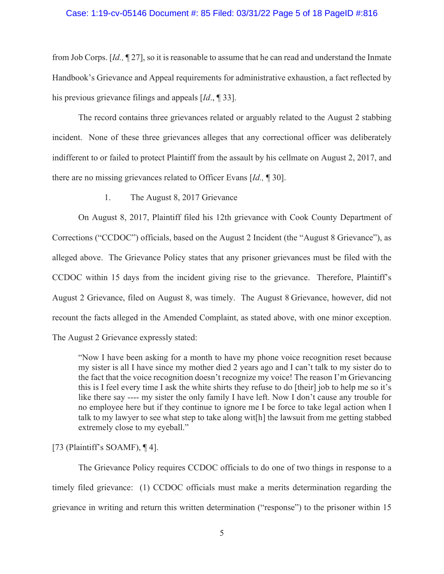### Case: 1:19-cv-05146 Document #: 85 Filed: 03/31/22 Page 5 of 18 PageID #:816

from Job Corps.  $Id, \P$  27, so it is reasonable to assume that he can read and understand the Inmate Handbook's Grievance and Appeal requirements for administrative exhaustion, a fact reflected by his previous grievance filings and appeals [*Id.*, 1 33].

The record contains three grievances related or arguably related to the August 2 stabbing incident. None of these three grievances alleges that any correctional officer was deliberately indifferent to or failed to protect Plaintiff from the assault by his cellmate on August 2, 2017, and there are no missing grievances related to Officer Evans [Id., 1930].

1. The August 8, 2017 Grievance

On August 8, 2017, Plaintiff filed his 12th grievance with Cook County Department of Corrections ("CCDOC") officials, based on the August 2 Incident (the "August 8 Grievance"), as alleged above. The Grievance Policy states that any prisoner grievances must be filed with the CCDOC within 15 days from the incident giving rise to the grievance. Therefore, Plaintiff's August 2 Grievance, filed on August 8, was timely. The August 8 Grievance, however, did not recount the facts alleged in the Amended Complaint, as stated above, with one minor exception. The August 2 Grievance expressly stated:

"Now I have been asking for a month to have my phone voice recognition reset because my sister is all I have since my mother died 2 years ago and I can't talk to my sister do to the fact that the voice recognition doesn't recognize my voice! The reason I'm Grievancing this is I feel every time I ask the white shirts they refuse to do [their] job to help me so it's like there say ---- my sister the only family I have left. Now I don't cause any trouble for no employee here but if they continue to ignore me I be force to take legal action when I talk to my lawyer to see what step to take along wit[h] the lawsuit from me getting stabbed extremely close to my eyeball."

[73 (Plaintiff's SOAMF),  $\P$ 4].

The Grievance Policy requires CCDOC officials to do one of two things in response to a timely filed grievance: (1) CCDOC officials must make a merits determination regarding the grievance in writing and return this written determination ("response") to the prisoner within 15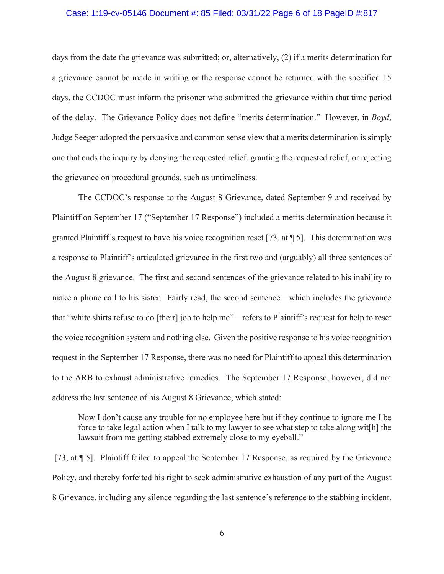### Case: 1:19-cv-05146 Document #: 85 Filed: 03/31/22 Page 6 of 18 PageID #:817

days from the date the grievance was submitted; or, alternatively,  $(2)$  if a merits determination for a grievance cannot be made in writing or the response cannot be returned with the specified 15 days, the CCDOC must inform the prisoner who submitted the grievance within that time period of the delay. The Grievance Policy does not define "merits determination." However, in *Boyd*, Judge Seeger adopted the persuasive and common sense view that a merits determination is simply one that ends the inquiry by denying the requested relief, granting the requested relief, or rejecting the grievance on procedural grounds, such as untimeliness.

The CCDOC's response to the August 8 Grievance, dated September 9 and received by Plaintiff on September 17 ("September 17 Response") included a merits determination because it granted Plaintiff's request to have his voice recognition reset [73, at  $\parallel$  5]. This determination was a response to Plaintiff's articulated grievance in the first two and (arguably) all three sentences of the August 8 grievance. The first and second sentences of the grievance related to his inability to make a phone call to his sister. Fairly read, the second sentence—which includes the grievance that "white shirts refuse to do [their] job to help me"—refers to Plaintiff's request for help to reset the voice recognition system and nothing else. Given the positive response to his voice recognition request in the September 17 Response, there was no need for Plaintiff to appeal this determination to the ARB to exhaust administrative remedies. The September 17 Response, however, did not address the last sentence of his August 8 Grievance, which stated:

Now I don't cause any trouble for no employee here but if they continue to ignore me I be force to take legal action when I talk to my lawyer to see what step to take along wit<sup>h</sup> the lawsuit from me getting stabbed extremely close to my eyeball."

[73, at  $\P$  5]. Plaintiff failed to appeal the September 17 Response, as required by the Grievance Policy, and thereby forfeited his right to seek administrative exhaustion of any part of the August 8 Grievance, including any silence regarding the last sentence's reference to the stabbing incident.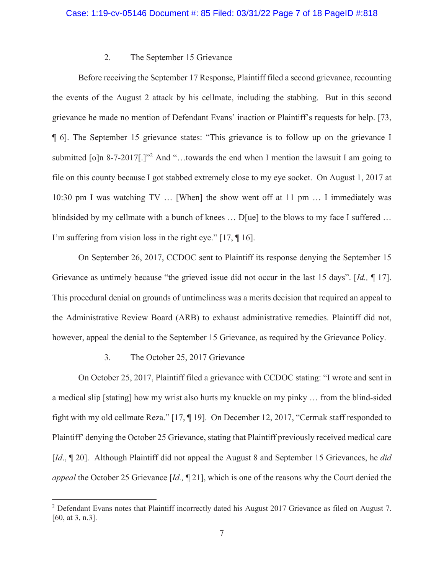# 2. The September 15 Grievance

Before receiving the September 17 Response, Plaintiff filed a second grievance, recounting the events of the August 2 attack by his cellmate, including the stabbing. But in this second grievance he made no mention of Defendant Evans' inaction or Plaintiff's requests for help. [73, **[40]**. The September 15 grievance states: "This grievance is to follow up on the grievance I submitted  $\lceil \text{o} \rceil n \cdot 8 - 7 - 2017 \rceil$ .]<sup>22</sup> And "...towards the end when I mention the lawsuit I am going to file on this county because I got stabbed extremely close to my eye socket. On August 1, 2017 at 10:30 pm I was watching TV  $\ldots$  [When] the show went off at 11 pm  $\ldots$  I immediately was blindsided by my cellmate with a bunch of knees ... D[ue] to the blows to my face I suffered ... I'm suffering from vision loss in the right eye."  $[17, \P 16]$ .

On September 26, 2017, CCDOC sent to Plaintiff its response denying the September 15 Grievance as untimely because "the grieved issue did not occur in the last 15 days". [Id., 117]. This procedural denial on grounds of untimeliness was a merits decision that required an appeal to the Administrative Review Board (ARB) to exhaust administrative remedies. Plaintiff did not, however, appeal the denial to the September 15 Grievance, as required by the Grievance Policy.

#### 3. The October 25, 2017 Grievance

On October 25, 2017, Plaintiff filed a grievance with CCDOC stating: "I wrote and sent in a medical slip [stating] how my wrist also hurts my knuckle on my pinky ... from the blind-sided fight with my old cellmate Reza." [17,  $\P$  19]. On December 12, 2017, "Cermak staff responded to Plaintiff' denying the October 25 Grievance, stating that Plaintiff previously received medical care [*Id.*, 120]. Although Plaintiff did not appeal the August 8 and September 15 Grievances, he *did* appeal the October 25 Grievance [Id., 1| 21], which is one of the reasons why the Court denied the

<sup>&</sup>lt;sup>2</sup> Defendant Evans notes that Plaintiff incorrectly dated his August 2017 Grievance as filed on August 7.  $[60, at 3, n.3]$ .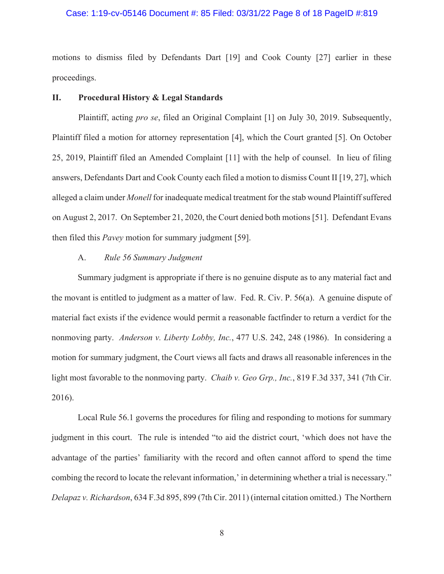### Case: 1:19-cv-05146 Document #: 85 Filed: 03/31/22 Page 8 of 18 PageID #:819

motions to dismiss filed by Defendants Dart [19] and Cook County [27] earlier in these proceedings.

#### II. **Procedural History & Legal Standards**

Plaintiff, acting pro se, filed an Original Complaint [1] on July 30, 2019. Subsequently, Plaintiff filed a motion for attorney representation [4], which the Court granted [5]. On October 25, 2019, Plaintiff filed an Amended Complaint [11] with the help of counsel. In lieu of filing answers, Defendants Dart and Cook County each filed a motion to dismiss Count II [19, 27], which alleged a claim under Monell for inadequate medical treatment for the stab wound Plaintiff suffered on August 2, 2017. On September 21, 2020, the Court denied both motions [51]. Defendant Evans then filed this *Pavey* motion for summary judgment [59].

#### Rule 56 Summary Judgment  $A_{\cdot}$

Summary judgment is appropriate if there is no genuine dispute as to any material fact and the movant is entitled to judgment as a matter of law. Fed. R. Civ. P. 56(a). A genuine dispute of material fact exists if the evidence would permit a reasonable factfinder to return a verdict for the nonmoving party. Anderson v. Liberty Lobby, Inc., 477 U.S. 242, 248 (1986). In considering a motion for summary judgment, the Court views all facts and draws all reasonable inferences in the light most favorable to the nonmoving party. Chaib v. Geo Grp., Inc., 819 F.3d 337, 341 (7th Cir. 2016).

Local Rule 56.1 governs the procedures for filing and responding to motions for summary judgment in this court. The rule is intended "to aid the district court, 'which does not have the advantage of the parties' familiarity with the record and often cannot afford to spend the time combing the record to locate the relevant information, in determining whether a trial is necessary." Delapaz v. Richardson, 634 F.3d 895, 899 (7th Cir. 2011) (internal citation omitted.) The Northern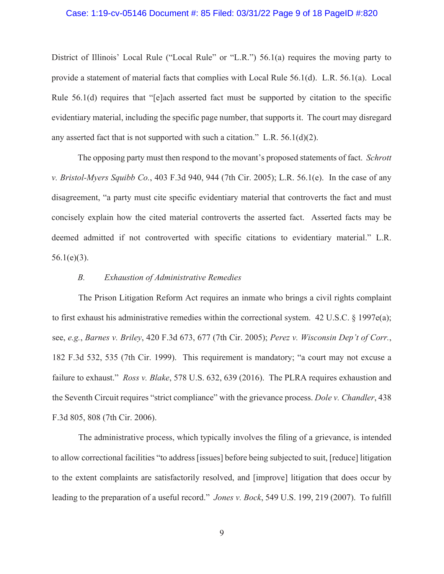### Case: 1:19-cv-05146 Document #: 85 Filed: 03/31/22 Page 9 of 18 PageID #:820

District of Illinois' Local Rule ("Local Rule" or "L.R.")  $56.1(a)$  requires the moving party to provide a statement of material facts that complies with Local Rule  $56.1(d)$ . L.R.  $56.1(a)$ . Local Rule  $56.1(d)$  requires that "[e]ach asserted fact must be supported by citation to the specific evidentiary material, including the specific page number, that supports it. The court may disregard any asserted fact that is not supported with such a citation." L.R.  $56.1(d)(2)$ .

The opposing party must then respond to the movant's proposed statements of fact. *Schrott v. Bristol-Myers Squibb Co.*, 403 F.3d 940, 944 (7th Cir. 2005); L.R. 56.1(e). In the case of any disagreement, "a party must cite specific evidentiary material that controverts the fact and must concisely explain how the cited material controverts the asserted fact. Asserted facts may be deemed admitted if not controverted with specific citations to evidentiary material." L.R.  $56.1(e)(3)$ .

### *B. Exhaustion of Administrative Remedies*

The Prison Litigation Reform Act requires an inmate who brings a civil rights complaint to first exhaust his administrative remedies within the correctional system.  $42$  U.S.C. § 1997e(a); see, e.g., Barnes v. Briley, 420 F.3d 673, 677 (7th Cir. 2005); Perez v. Wisconsin Dep't of Corr., 182 F.3d 532, 535 (7th Cir. 1999). This requirement is mandatory; "a court may not excuse a failure to exhaust." *Ross v. Blake*, 578 U.S.  $632$ ,  $639$  (2016). The PLRA requires exhaustion and the Seventh Circuit requires "strict compliance" with the grievance process. *Dole v. Chandler*, 438 F.3d 805, 808 (7th Cir. 2006).

The administrative process, which typically involves the filing of a grievance, is intended to allow correctional facilities "to address [issues] before being subjected to suit, [reduce] litigation to the extent complaints are satisfactorily resolved, and [improve] litigation that does occur by leading to the preparation of a useful record." Jones v. Bock, 549 U.S. 199, 219 (2007). To fulfill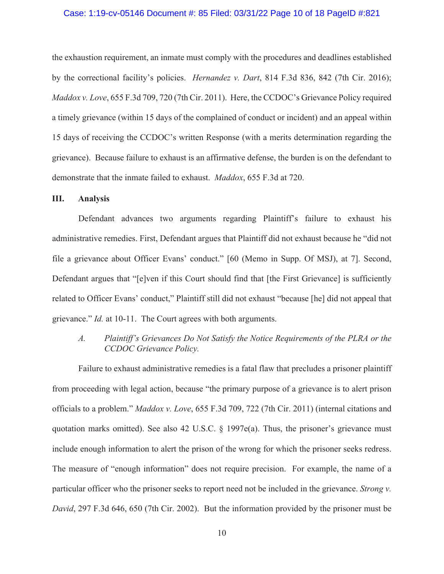### Case: 1:19-cv-05146 Document #: 85 Filed: 03/31/22 Page 10 of 18 PageID #:821

the exhaustion requirement, an inmate must comply with the procedures and deadlines established by the correctional facility's policies. *Hernandez v. Dart*, 814 F.3d 836, 842 (7th Cir. 2016); *Maddox v. Love,* 655 F.3d 709, 720 (7th Cir. 2011). Here, the CCDOC's Grievance Policy required a timely grievance (within 15 days of the complained of conduct or incident) and an appeal within 15 days of receiving the CCDOC's written Response (with a merits determination regarding the grievance). Because failure to exhaust is an affirmative defense, the burden is on the defendant to demonstrate that the inmate failed to exhaust. *Maddox*, 655 F.3d at 720.

#### Ш. **Analysis**

Defendant advances two arguments regarding Plaintiff's failure to exhaust his administrative remedies. First, Defendant argues that Plaintiff did not exhaust because he "did not file a grievance about Officer Evans' conduct." [60 (Memo in Supp. Of MSJ), at 7]. Second, Defendant argues that "[e]ven if this Court should find that [the First Grievance] is sufficiently related to Officer Evans' conduct," Plaintiff still did not exhaust "because [he] did not appeal that grievance." *Id.* at 10-11. The Court agrees with both arguments.

#### $\overline{A}$ . Plaintiff's Grievances Do Not Satisfy the Notice Requirements of the PLRA or the CCDOC Grievance Policy.

Failure to exhaust administrative remedies is a fatal flaw that precludes a prisoner plaintiff from proceeding with legal action, because "the primary purpose of a grievance is to alert prison officials to a problem." Maddox v. Love, 655 F.3d 709, 722 (7th Cir. 2011) (internal citations and quotation marks omitted). See also 42 U.S.C. § 1997e(a). Thus, the prisoner's grievance must include enough information to alert the prison of the wrong for which the prisoner seeks redress. The measure of "enough information" does not require precision. For example, the name of a particular officer who the prisoner seeks to report need not be included in the grievance. Strong v. David, 297 F.3d 646, 650 (7th Cir. 2002). But the information provided by the prisoner must be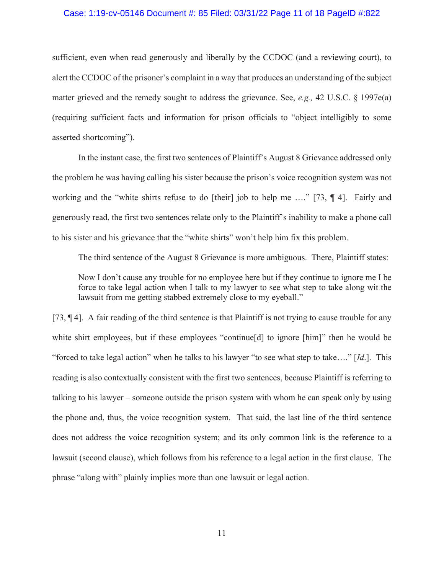# Case: 1:19-cv-05146 Document #: 85 Filed: 03/31/22 Page 11 of 18 PageID #:822

sufficient, even when read generously and liberally by the CCDOC (and a reviewing court), to a left the CCDOC of the prisoner's complaint in a way that produces an understanding of the subject matter grieved and the remedy sought to address the grievance. See, e.g., 42 U.S.C. § 1997 $e$ (a) (requiring sufficient facts and information for prison officials to "object intelligibly to some asserted shortcoming").

In the instant case, the first two sentences of Plaintiff's August 8 Grievance addressed only the problem he was having calling his sister because the prison's voice recognition system was not working and the "white shirts refuse to do [their] job to help me ...." [73,  $\P$  4]. Fairly and generously read, the first two sentences relate only to the Plaintiff's inability to make a phone call to his sister and his grievance that the "white shirts" won't help him fix this problem.

The third sentence of the August 8 Grievance is more ambiguous. There, Plaintiff states:

Now I don't cause any trouble for no employee here but if they continue to ignore me I be force to take legal action when I talk to my lawyer to see what step to take along wit the lawsuit from me getting stabbed extremely close to my eyeball."

[73, 14]. A fair reading of the third sentence is that Plaint if is not trying to cause trouble for any white shirt employees, but if these employees "continue[d] to ignore [him]" then he would be "forced to take legal action" when he talks to his lawyer "to see what step to take...." [Id.]. This reading is also contextually consistent with the first two sentences, because Plaintiff is referring to talking to his lawyer – someone outside the prison system with whom he can speak only by using the phone and, thus, the voice recognition system. That said, the last line of the third sentence does not address the voice recognition system; and its only common link is the reference to a lawsuit (second clause), which follows from his reference to a legal action in the first clause. The phrase "along with" plainly implies more than one lawsuit or legal action.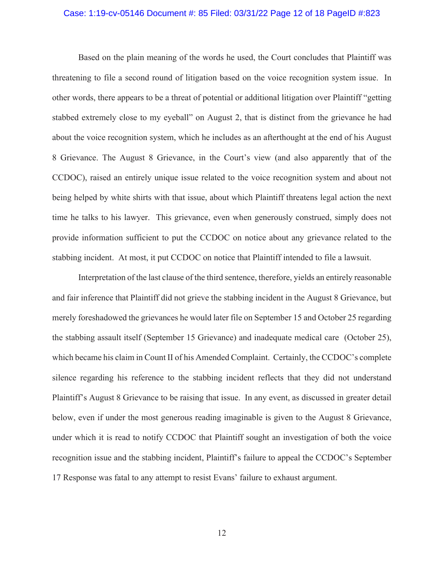### Case: 1:19-cv-05146 Document #: 85 Filed: 03/31/22 Page 12 of 18 PageID #:823

Based on the plain meaning of the words he used, the Court concludes that Plaintiff was threatening to file a second round of litigation based on the voice recognition system issue. In other words, there appears to be a threat of potential or additional litigation over Plaintiff "getting" stabbed extremely close to my eyeball" on August 2, that is distinct from the grievance he had about the voice recognition system, which he includes as an after thought at the end of his August 8 Grievance. The August 8 Grievance, in the Court's view (and also apparently that of the CCDOC), raised an entirely unique issue related to the voice recognition system and about not being helped by white shirts with that issue, about which Plaintiff threatens legal action the next time he talks to his lawyer. This grievance, even when generously construed, simply does not provide information sufficient to put the CCDOC on notice about any grievance related to the stabbing incident. At most, it put CCDOC on notice that Plaintiff intended to file a lawsuit.

Interpretation of the last clause of the third sentence, therefore, yields an entirely reasonable and fair inference that Plaintiff did not grieve the stabbing incident in the August 8 Grievance, but merely foreshadowed the grievances he would later file on September 15 and October 25 regarding the stabbing assault itself (September 15 Grievance) and inadequate medical care (October 25), which became his claim in Count II of his Amended Complaint. Certainly, the CCDOC's complete silence regarding his reference to the stabbing incident reflects that they did not understand Plaintiff's August 8 Grievance to be raising that issue. In any event, as discussed in greater detail below, even if under the most generous reading imaginable is given to the August 8 Grievance, under which it is read to notify CCDOC that Plaintiff sought an investigation of both the voice recognition issue and the stabbing incident, Plaintiff's failure to appeal the CCDOC's September 17 Response was fatal to any attempt to resist Evans' failure to exhaust argument.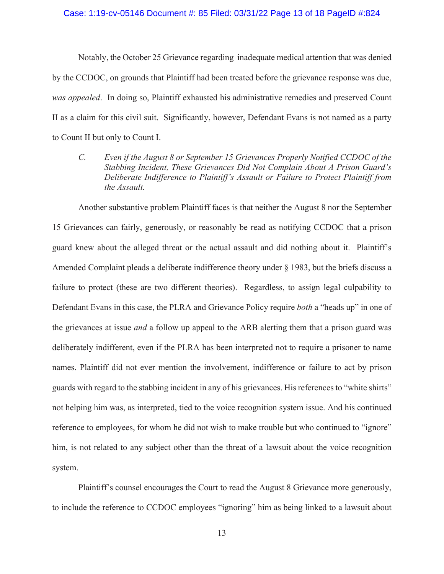### Case: 1:19-cv-05146 Document #: 85 Filed: 03/31/22 Page 13 of 18 PageID #:824

Notably, the October 25 Grievance regarding inadequate medical attention that was denied by the CCDOC, on grounds that Plaintiff had been treated before the grievance response was due, was appealed. In doing so, Plaintiff exhausted his administrative remedies and preserved Count II as a claim for this civil suit. Significantly, however, Defendant Evans is not named as a party to Count II but only to Count I.

 $\mathcal{C}$ . Even if the August 8 or September 15 Grievances Properly Notified CCDOC of the Stabbing Incident, These Grievances Did Not Complain About A Prison Guard's Deliberate Indifference to Plaintiff's Assault or Failure to Protect Plaintiff from the Assault.

Another substantive problem Plaintiff faces is that neither the August 8 nor the September 15 Grievances can fairly, generously, or reasonably be read as notifying CCDOC that a prison guard knew about the alleged threat or the actual assault and did nothing about it. Plaintiff's Amended Complaint pleads a deliberate indifference theory under § 1983, but the briefs discuss a failure to protect (these are two different theories). Regardless, to assign legal culpability to Defendant Evans in this case, the PLRA and Grievance Policy require both a "heads up" in one of the grievances at issue *and* a follow up appeal to the ARB alerting them that a prison guard was deliberately indifferent, even if the PLRA has been interpreted not to require a prisoner to name names. Plaintiff did not ever mention the involvement, indifference or failure to act by prison guards with regard to the stabbing incident in any of his grievances. His references to "white shirts" not helping him was, as interpreted, tied to the voice recognition system issue. And his continued reference to employees, for whom he did not wish to make trouble but who continued to "ignore" him, is not related to any subject other than the threat of a lawsuit about the voice recognition system.

Plaintiff's counsel encourages the Court to read the August 8 Grievance more generously, to include the reference to CCDOC employees "ignoring" him as being linked to a lawsuit about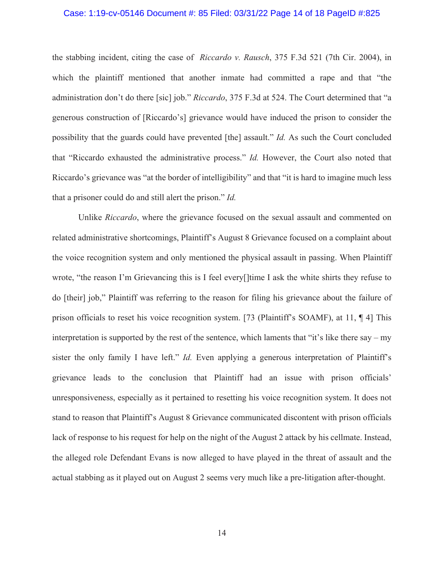### Case: 1:19-cv-05146 Document #: 85 Filed: 03/31/22 Page 14 of 18 PageID #:825

the stabbing incident, citing the case of *Riccardo v. Rausch*, 375 F.3d 521 (7th Cir. 2004), in which the plaintiff mentioned that another inmate had committed a rape and that "the administration don't do there [sic] job." Riccardo, 375 F.3d at 524. The Court determined that "a generous construction of [Riccardo's] grievance would have induced the prison to consider the possibility that the guards could have prevented [the] assault." Id. As such the Court concluded that "Riccardo exhausted the administrative process." Id. However, the Court also noted that Riccardo's grievance was "at the border of intelligibility" and that "it is hard to imagine much less that a prisoner could do and still alert the prison." Id.

Unlike Riccardo, where the grievance focused on the sexual assault and commented on related administrative shortcomings, Plaintiff's August 8 Grievance focused on a complaint about the voice recognition system and only mentioned the physical assault in passing. When Plaintiff wrote, "the reason I'm Grievancing this is I feel every ltime I ask the white shirts they refuse to do [their] job," Plaintiff was referring to the reason for filing his grievance about the failure of prison officials to reset his voice recognition system. [73 (Plaintiff's SOAMF), at 11,  $\P$  4] This interpretation is supported by the rest of the sentence, which laments that "it's like there say  $-$  my sister the only family I have left." *Id.* Even applying a generous interpretation of Plaintiff's grievance leads to the conclusion that Plaintiff had an issue with prison officials' unresponsiveness, especially as it pertained to resetting his voice recognition system. It does not stand to reason that Plaintiff's August 8 Grievance communicated discontent with prison officials lack of response to his request for help on the night of the August 2 attack by his cellmate. Instead, the alleged role Defendant Evans is now alleged to have played in the threat of assault and the actual stabbing as it played out on August 2 seems very much like a pre-litigation after-thought.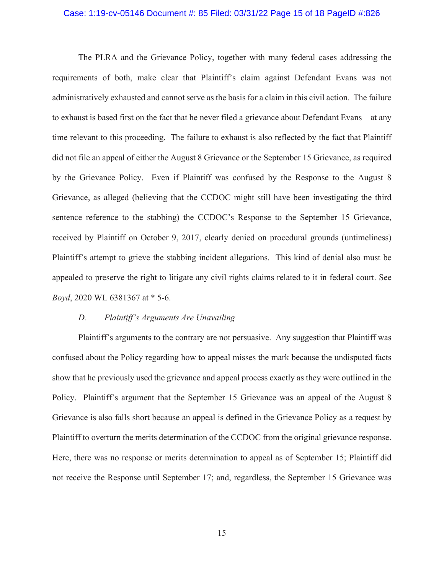### Case: 1:19-cv-05146 Document #: 85 Filed: 03/31/22 Page 15 of 18 PageID #:826

The PLRA and the Grievance Policy, together with many federal cases addressing the requirements of both, make clear that Plaintiff's claim against Defendant Evans was not administratively exhausted and cannot serve as the basis for a claim in this civil action. The failure to exhaust is based first on the fact that he never filed a grievance about Defendant Evans – at any time relevant to this proceeding. The failure to exhaust is also reflected by the fact that Plaintiff did not file an appeal of either the August 8 Grievance or the September 15 Grievance, as required by the Grievance Policy. Even if Plaintiff was confused by the Response to the August 8 Grievance, as alleged (believing that the CCDOC might still have been investigating the third sentence reference to the stabbing) the CCDOC's Response to the September 15 Grievance, received by Plaintiff on October 9, 2017, clearly denied on procedural grounds (untimeliness) Plaintiff's attempt to grieve the stabbing incident allegations. This kind of denial also must be appealed to preserve the right to litigate any civil rights claims related to it in federal court. See Boyd, 2020 WL 6381367 at \* 5-6.

#### $D_{\cdot}$ Plaintiff's Arguments Are Unavailing

Plaintiff's arguments to the contrary are not persuasive. Any suggestion that Plaintiff was confused about the Policy regarding how to appeal misses the mark because the undisputed facts show that he previously used the grievance and appeal process exactly as they were outlined in the Policy. Plaintiff's argument that the September 15 Grievance was an appeal of the August 8 Grievance is also falls short because an appeal is defined in the Grievance Policy as a request by Plaintiff to overturn the merits determination of the CCDOC from the original grievance response. Here, there was no response or merits determination to appeal as of September 15; Plaintiff did not receive the Response until September 17; and, regardless, the September 15 Grievance was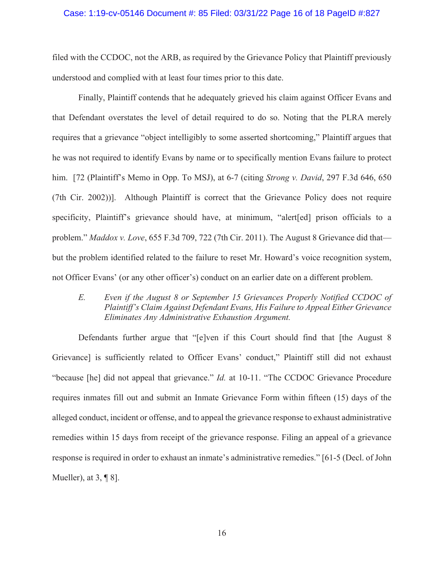### Case: 1:19-cv-05146 Document #: 85 Filed: 03/31/22 Page 16 of 18 PageID #:827

filed with the CCDOC, not the ARB, as required by the Grievance Policy that Plaintiff previously understood and complied with at least four times prior to this date.

Finally, Plaintiff contends that he adequately grieved his claim against Officer Evans and that Defendant overstates the level of detail required to do so. Noting that the PLRA merely requires that a grievance "object intelligibly to some asserted shortcoming," Plaintiff argues that he was not required to identify Evans by name or to specifically mention Evans failure to protect him. [72 (Plaintiff's Memo in Opp. To MSJ), at 6-7 (citing *Strong v. David*, 297 F.3d 646, 650)  $(7th$  Cir. 2002)). Although Plaintiff is correct that the Grievance Policy does not require specificity, Plaintiff's grievance should have, at minimum, "alert[ed] prison officials to a problem." Maddox v. Love, 655 F.3d 709, 722 (7th Cir. 2011). The August 8 Grievance did that but the problem identified related to the failure to reset Mr. Howard's voice recognition system, not Officer Evans' (or any other officer's) conduct on an earlier date on a different problem.

E. Even if the August 8 or September 15 Grievances Properly Notified CCDOC of Plaintiff's Claim Against Defendant Evans, His Failure to Appeal Either Grievance Eliminates Any Administrative Exhaustion Argument.

Defendants further argue that "[e]ven if this Court should find that [the August  $8$ ] Grievance] is sufficiently related to Officer Evans' conduct," Plaintiff still did not exhaust "because [he] did not appeal that grievance." *Id.* at 10-11. "The CCDOC Grievance Procedure requires inmates fill out and submit an Inmate Grievance Form within fifteen (15) days of the alleged conduct, incident or offense, and to appeal the grievance response to exhaust administrative remedies within 15 days from receipt of the grievance response. Filing an appeal of a grievance response is required in order to exhaust an inmate's administrative remedies."  $[61-5$  (Decl. of John Mueller), at  $3, \P 8$ .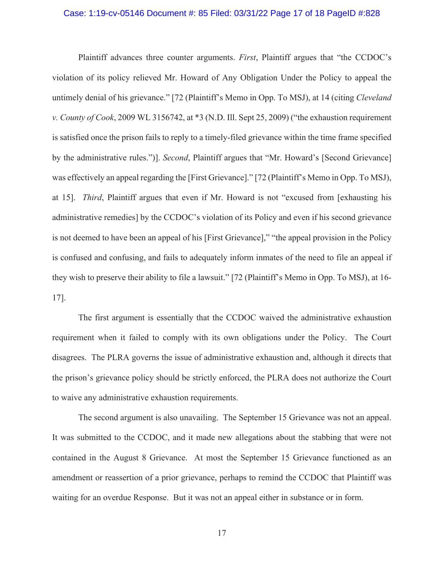### Case: 1:19-cv-05146 Document #: 85 Filed: 03/31/22 Page 17 of 18 PageID #:828

Plaintiff advances three counter arguments. First, Plaintiff argues that "the CCDOC's violation of its policy relieved Mr. Howard of Any Obligation Under the Policy to appeal the untimely denial of his grievance." [72 (Plaintiff's Memo in Opp. To MSJ), at 14 (citing Cleveland v. County of Cook, 2009 WL 3156742, at \*3 (N.D. Ill. Sept 25, 2009) ("the exhaustion requirement" is satisfied once the prison fails to reply to a timely-filed grievance within the time frame specified by the administrative rules.")]. Second, Plaintiff argues that "Mr. Howard's [Second Grievance] was effectively an appeal regarding the [First Grievance]." [72 (Plaintiff's Memo in Opp. To MSJ), at 15]. *Third*, Plaintiff argues that even if Mr. Howard is not "excused from [exhausting his administrative remedies] by the CCDOC's violation of its Policy and even if his second grievance is not deemed to have been an appeal of his [First Grievance]," "the appeal provision in the Policy is confused and confusing, and fails to adequately inform inmates of the need to file an appeal if they wish to preserve their ability to file a lawsuit." [72 (Plaintiff's Memo in Opp. To MSJ), at 16- $17$ .

The first argument is essentially that the CCDOC waived the administrative exhaustion requirement when it failed to comply with its own obligations under the Policy. The Court disagrees. The PLRA governs the issue of administrative exhaustion and, although it directs that the prison's grievance policy should be strictly enforced, the PLRA does not authorize the Court to waive any administrative exhaustion requirements.

The second argument is also unavailing. The September 15 Grievance was not an appeal. It was submitted to the CCDOC, and it made new allegations about the stabbing that were not contained in the August 8 Grievance. At most the September 15 Grievance functioned as an amendment or reassertion of a prior grievance, perhaps to remind the CCDOC that Plaintiff was waiting for an overdue Response. But it was not an appeal either in substance or in form.

17